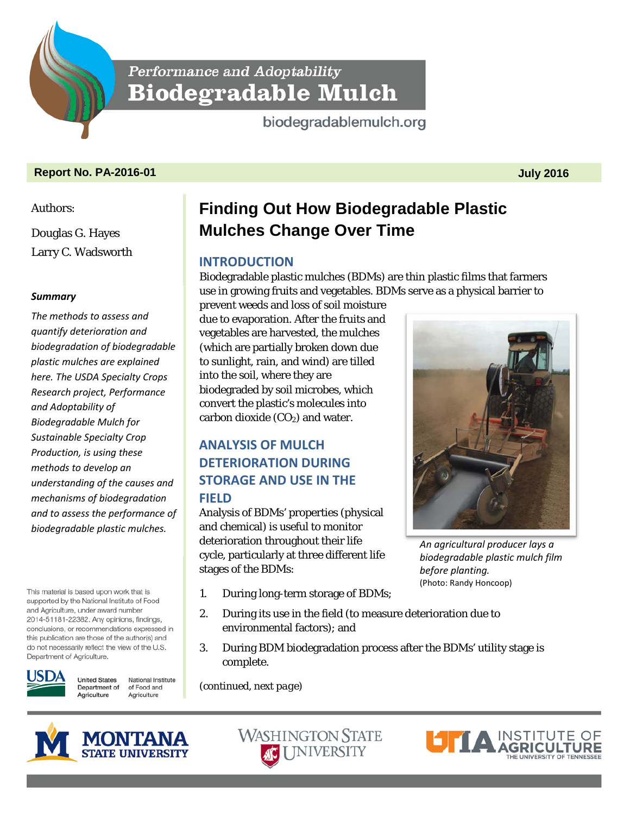Performance and Adoptability **Biodegradable Mulch** 

biodegradablemulch.org

### **Report No. PA-2016-01 July 2016**

Authors:

Douglas G. Hayes Larry C. Wadsworth

### *Summary*

*The methods to assess and quantify deterioration and biodegradation of biodegradable plastic mulches are explained here. The USDA Specialty Crops Research project, Performance and Adoptability of Biodegradable Mulch for Sustainable Specialty Crop Production, is using these methods to develop an understanding of the causes and mechanisms of biodegradation and to assess the performance of biodegradable plastic mulches.*

This material is based upon work that is supported by the National Institute of Food and Agriculture, under award number 2014-51181-22382. Any opinions, findings, conclusions, or recommendations expressed in this publication are those of the author(s) and do not necessarily reflect the view of the U.S. Department of Agriculture.



**United States** National Institute Department of of Food and Agriculture Agriculture

# **Finding Out How Biodegradable Plastic Mulches Change Over Time**

## **INTRODUCTION**

Biodegradable plastic mulches (BDMs) are thin plastic films that farmers use in growing fruits and vegetables. BDMs serve as a physical barrier to

prevent weeds and loss of soil moisture due to evaporation. After the fruits and vegetables are harvested, the mulches (which are partially broken down due to sunlight, rain, and wind) are tilled into the soil, where they are biodegraded by soil microbes, which convert the plastic's molecules into carbon dioxide  $(CO<sub>2</sub>)$  and water.

# **ANALYSIS OF MULCH DETERIORATION DURING STORAGE AND USE IN THE FIELD**

Analysis of BDMs' properties (physical and chemical) is useful to monitor deterioration throughout their life cycle, particularly at three different life stages of the BDMs:

- 1. During long-term storage of BDMs;
- 2. During its use in the field (to measure deterioration due to environmental factors); and
- 3. During BDM biodegradation process after the BDMs' utility stage is complete.

*(continued, next page)*









*An agricultural producer lays a biodegradable plastic mulch film before planting.*  (Photo: Randy Honcoop)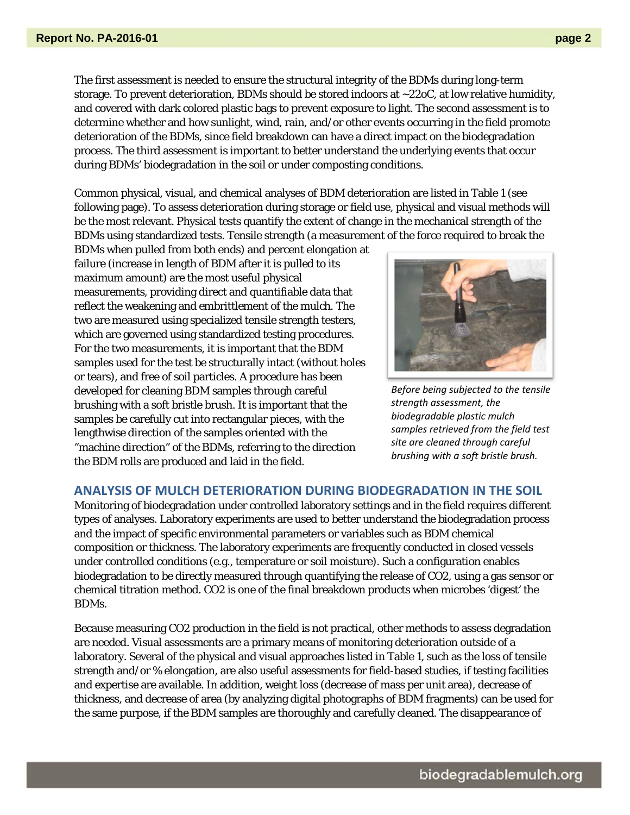The first assessment is needed to ensure the structural integrity of the BDMs during long-term storage. To prevent deterioration, BDMs should be stored indoors at ~22oC, at low relative humidity, and covered with dark colored plastic bags to prevent exposure to light. The second assessment is to determine whether and how sunlight, wind, rain, and/or other events occurring in the field promote deterioration of the BDMs, since field breakdown can have a direct impact on the biodegradation process. The third assessment is important to better understand the underlying events that occur during BDMs' biodegradation in the soil or under composting conditions.

Common physical, visual, and chemical analyses of BDM deterioration are listed in Table 1 (see following page). To assess deterioration during storage or field use, physical and visual methods will be the most relevant. Physical tests quantify the extent of change in the mechanical strength of the BDMs using standardized tests. Tensile strength (a measurement of the force required to break the

BDMs when pulled from both ends) and percent elongation at failure (increase in length of BDM after it is pulled to its maximum amount) are the most useful physical measurements, providing direct and quantifiable data that reflect the weakening and embrittlement of the mulch. The two are measured using specialized tensile strength testers, which are governed using standardized testing procedures. For the two measurements, it is important that the BDM samples used for the test be structurally intact (without holes or tears), and free of soil particles. A procedure has been developed for cleaning BDM samples through careful brushing with a soft bristle brush. It is important that the samples be carefully cut into rectangular pieces, with the lengthwise direction of the samples oriented with the "machine direction" of the BDMs, referring to the direction the BDM rolls are produced and laid in the field.



*Before being subjected to the tensile strength assessment, the biodegradable plastic mulch samples retrieved from the field test site are cleaned through careful brushing with a soft bristle brush.*

#### **ANALYSIS OF MULCH DETERIORATION DURING BIODEGRADATION IN THE SOIL**

Monitoring of biodegradation under controlled laboratory settings and in the field requires different types of analyses. Laboratory experiments are used to better understand the biodegradation process and the impact of specific environmental parameters or variables such as BDM chemical composition or thickness. The laboratory experiments are frequently conducted in closed vessels under controlled conditions (e.g., temperature or soil moisture). Such a configuration enables biodegradation to be directly measured through quantifying the release of CO2, using a gas sensor or chemical titration method. CO2 is one of the final breakdown products when microbes 'digest' the BDMs.

Because measuring CO2 production in the field is not practical, other methods to assess degradation are needed. Visual assessments are a primary means of monitoring deterioration outside of a laboratory. Several of the physical and visual approaches listed in Table 1, such as the loss of tensile strength and/or % elongation, are also useful assessments for field-based studies, if testing facilities and expertise are available. In addition, weight loss (decrease of mass per unit area), decrease of thickness, and decrease of area (by analyzing digital photographs of BDM fragments) can be used for the same purpose, if the BDM samples are thoroughly and carefully cleaned. The disappearance of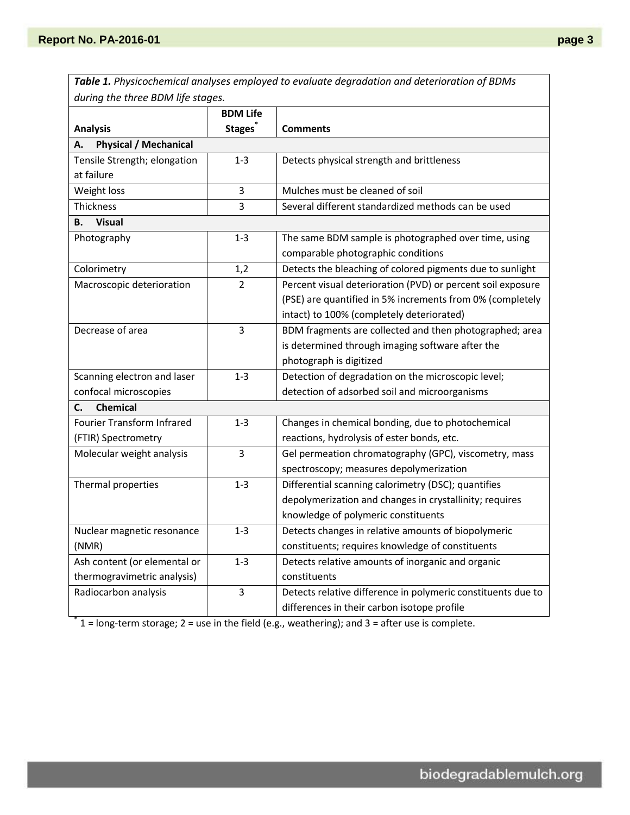*Table 1. Physicochemical analyses employed to evaluate degradation and deterioration of BDMs during the three BDM life stages.*

|                                    | <b>BDM Life</b> |                                                              |
|------------------------------------|-----------------|--------------------------------------------------------------|
| <b>Analysis</b>                    | <b>Stages</b>   | <b>Comments</b>                                              |
| <b>Physical / Mechanical</b><br>А. |                 |                                                              |
| Tensile Strength; elongation       | $1 - 3$         | Detects physical strength and brittleness                    |
| at failure                         |                 |                                                              |
| Weight loss                        | 3               | Mulches must be cleaned of soil                              |
| Thickness                          | 3               | Several different standardized methods can be used           |
| <b>Visual</b><br>В.                |                 |                                                              |
| Photography                        | $1 - 3$         | The same BDM sample is photographed over time, using         |
|                                    |                 | comparable photographic conditions                           |
| Colorimetry                        | 1,2             | Detects the bleaching of colored pigments due to sunlight    |
| Macroscopic deterioration          | $\overline{2}$  | Percent visual deterioration (PVD) or percent soil exposure  |
|                                    |                 | (PSE) are quantified in 5% increments from 0% (completely    |
|                                    |                 | intact) to 100% (completely deteriorated)                    |
| Decrease of area                   | 3               | BDM fragments are collected and then photographed; area      |
|                                    |                 | is determined through imaging software after the             |
|                                    |                 | photograph is digitized                                      |
| Scanning electron and laser        | $1 - 3$         | Detection of degradation on the microscopic level;           |
| confocal microscopies              |                 | detection of adsorbed soil and microorganisms                |
| <b>Chemical</b><br>C.              |                 |                                                              |
| <b>Fourier Transform Infrared</b>  | $1 - 3$         | Changes in chemical bonding, due to photochemical            |
| (FTIR) Spectrometry                |                 | reactions, hydrolysis of ester bonds, etc.                   |
| Molecular weight analysis          | 3               | Gel permeation chromatography (GPC), viscometry, mass        |
|                                    |                 | spectroscopy; measures depolymerization                      |
| Thermal properties                 | $1 - 3$         | Differential scanning calorimetry (DSC); quantifies          |
|                                    |                 | depolymerization and changes in crystallinity; requires      |
|                                    |                 | knowledge of polymeric constituents                          |
| Nuclear magnetic resonance         | $1 - 3$         | Detects changes in relative amounts of biopolymeric          |
| (NMR)                              |                 | constituents; requires knowledge of constituents             |
| Ash content (or elemental or       | $1 - 3$         | Detects relative amounts of inorganic and organic            |
| thermogravimetric analysis)        |                 | constituents                                                 |
| Radiocarbon analysis               | 3               | Detects relative difference in polymeric constituents due to |
|                                    |                 | differences in their carbon isotope profile                  |

 $*$  1 = long-term storage; 2 = use in the field (e.g., weathering); and 3 = after use is complete.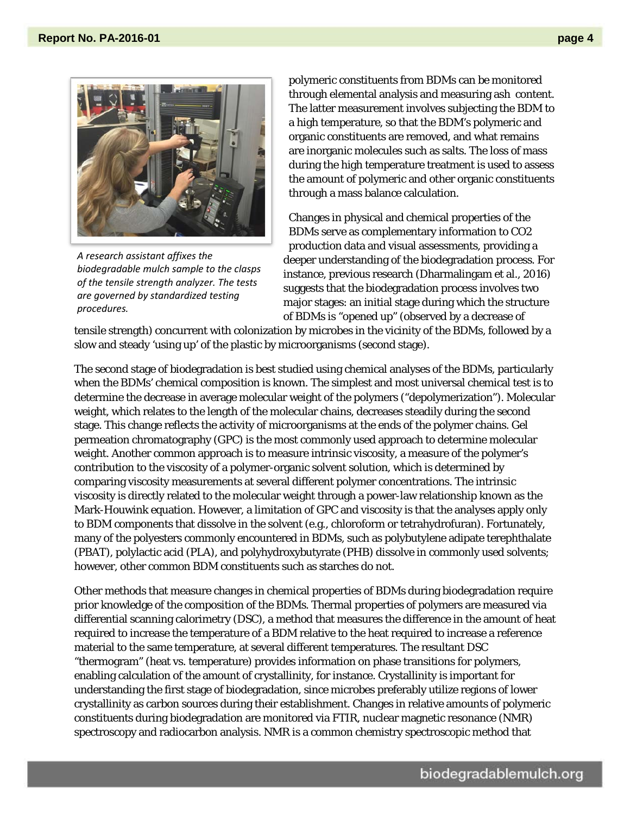

*A research assistant affixes the biodegradable mulch sample to the clasps of the tensile strength analyzer. The tests are governed by standardized testing procedures.*

polymeric constituents from BDMs can be monitored through elemental analysis and measuring ash content. The latter measurement involves subjecting the BDM to a high temperature, so that the BDM's polymeric and organic constituents are removed, and what remains are inorganic molecules such as salts. The loss of mass during the high temperature treatment is used to assess the amount of polymeric and other organic constituents through a mass balance calculation.

Changes in physical and chemical properties of the BDMs serve as complementary information to CO2 production data and visual assessments, providing a deeper understanding of the biodegradation process. For instance, previous research (Dharmalingam et al., 2016) suggests that the biodegradation process involves two major stages: an initial stage during which the structure of BDMs is "opened up" (observed by a decrease of

tensile strength) concurrent with colonization by microbes in the vicinity of the BDMs, followed by a slow and steady 'using up' of the plastic by microorganisms (second stage).

The second stage of biodegradation is best studied using chemical analyses of the BDMs, particularly when the BDMs' chemical composition is known. The simplest and most universal chemical test is to determine the decrease in average molecular weight of the polymers ("depolymerization"). Molecular weight, which relates to the length of the molecular chains, decreases steadily during the second stage. This change reflects the activity of microorganisms at the ends of the polymer chains. Gel permeation chromatography (GPC) is the most commonly used approach to determine molecular weight. Another common approach is to measure intrinsic viscosity, a measure of the polymer's contribution to the viscosity of a polymer-organic solvent solution, which is determined by comparing viscosity measurements at several different polymer concentrations. The intrinsic viscosity is directly related to the molecular weight through a power-law relationship known as the Mark-Houwink equation. However, a limitation of GPC and viscosity is that the analyses apply only to BDM components that dissolve in the solvent (e.g., chloroform or tetrahydrofuran). Fortunately, many of the polyesters commonly encountered in BDMs, such as polybutylene adipate terephthalate (PBAT), polylactic acid (PLA), and polyhydroxybutyrate (PHB) dissolve in commonly used solvents; however, other common BDM constituents such as starches do not.

Other methods that measure changes in chemical properties of BDMs during biodegradation require prior knowledge of the composition of the BDMs. Thermal properties of polymers are measured via differential scanning calorimetry (DSC), a method that measures the difference in the amount of heat required to increase the temperature of a BDM relative to the heat required to increase a reference material to the same temperature, at several different temperatures. The resultant DSC "thermogram" (heat vs. temperature) provides information on phase transitions for polymers, enabling calculation of the amount of crystallinity, for instance. Crystallinity is important for understanding the first stage of biodegradation, since microbes preferably utilize regions of lower crystallinity as carbon sources during their establishment. Changes in relative amounts of polymeric constituents during biodegradation are monitored via FTIR, nuclear magnetic resonance (NMR) spectroscopy and radiocarbon analysis. NMR is a common chemistry spectroscopic method that